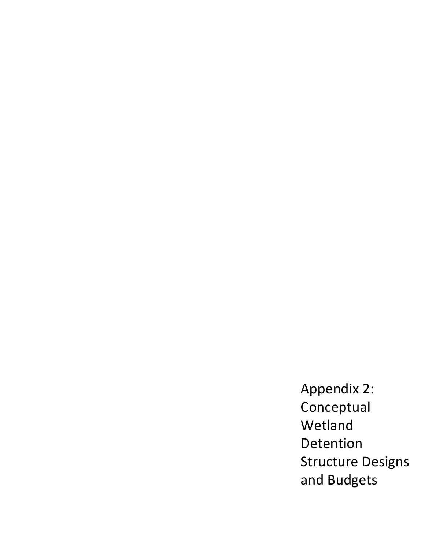Appendix 2: Conceptual Wetland Detention Structure Designs and Budgets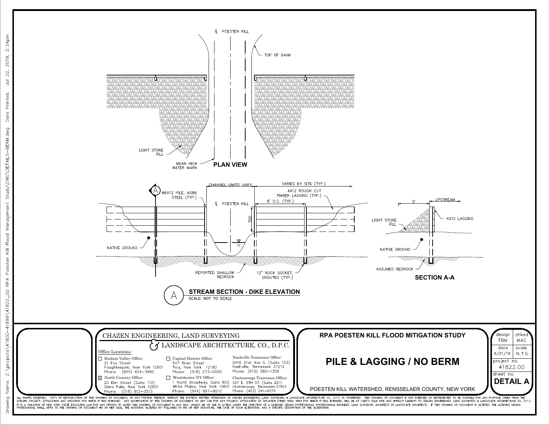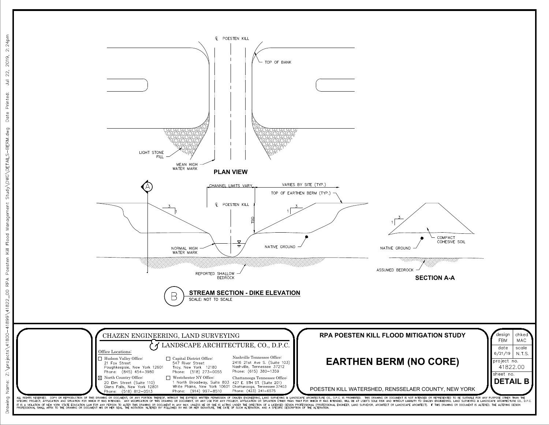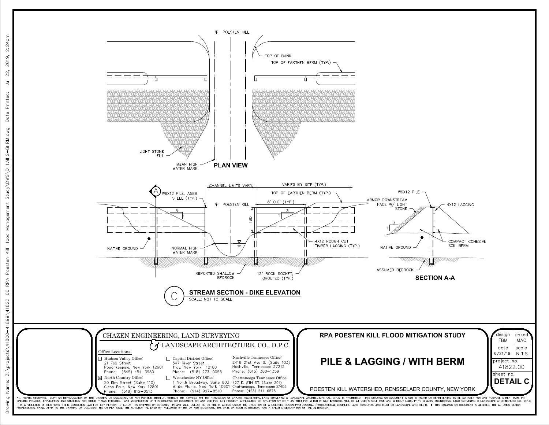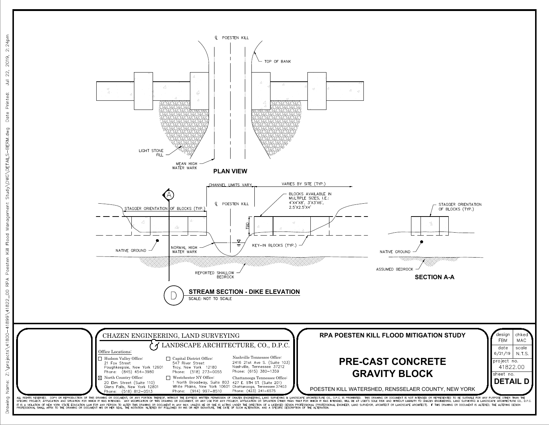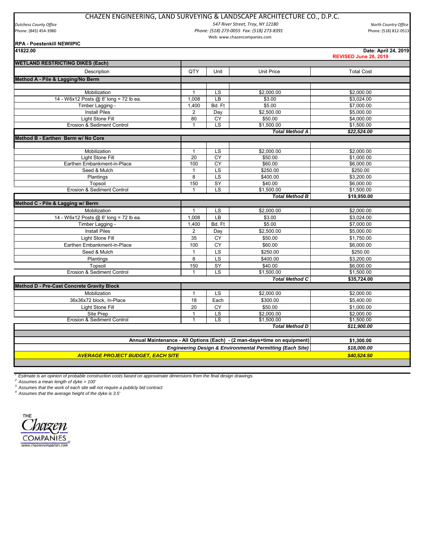## CHAZEN ENGINEERING, LAND SURVEYING & LANDSCAPE ARCHITECTURE CO., D.P.C.

*Dutchess County Office North Country Office 547 River Street, Troy, NY 12180* Phone: (845) 454‐3980 *Phone: (518) 273‐0055 Fax: (518) 273‐8391* Phone: (518) 812‐0513 Web: www.chazencompanies.com

## **RPA - Poestenkill NEWIIPIC**

| 41822.00                                                                 |                 |                          |                       | Date: April 24, 2019<br>REVISED June 28, 2019 |
|--------------------------------------------------------------------------|-----------------|--------------------------|-----------------------|-----------------------------------------------|
| <b>WETLAND RESTRICTING DIKES (Each)</b>                                  |                 |                          |                       |                                               |
| Description                                                              | QTY             | Unit                     | <b>Unit Price</b>     | <b>Total Cost</b>                             |
| Method A - Pile & Lagging/No Berm                                        |                 |                          |                       |                                               |
|                                                                          |                 |                          |                       |                                               |
| Mobilization                                                             | $\mathbf{1}$    | LS                       | \$2,000.00            | \$2,000.00                                    |
| 14 - W6x12 Posts @ 6' long = 72 lb ea.                                   | 1,008           | LB                       | \$3.00                | \$3,024.00                                    |
| Timber Lagging -                                                         | 1,400           | Bd. Ft                   | \$5.00                | \$7,000.00                                    |
| <b>Install Piles</b>                                                     | 2               | Day                      | \$2,500.00            | \$5,000.00                                    |
| Light Stone Fill                                                         | 80              | CY                       | \$50.00               | \$4,000.00                                    |
| Erosion & Sediment Control                                               | $\mathbf{1}$    | LS                       | \$1,500.00            | \$1,500.00                                    |
|                                                                          |                 |                          | <b>Total Method A</b> | \$22,524.00                                   |
| Method B - Earthen Berm w/ No Core                                       |                 |                          |                       |                                               |
|                                                                          |                 |                          |                       |                                               |
| Mobilization                                                             | 1               | $\overline{\text{LS}}$   | \$2,000.00            | \$2,000.00                                    |
| <b>Light Stone Fill</b>                                                  | $\overline{20}$ | CY                       | \$50.00               | \$1,000.00                                    |
| Earthen Embankment-in-Place                                              | 100             | CY                       | \$60.00               | \$6,000.00                                    |
| Seed & Mulch                                                             | $\mathbf{1}$    | LS                       | \$250.00              | \$250.00                                      |
| Plantings                                                                | 8               | $\overline{\mathsf{LS}}$ | \$400.00              | \$3,200.00                                    |
| Topsoil                                                                  | 150             | SY                       | \$40.00               | \$6,000.00                                    |
| Erosion & Sediment Control                                               | $\mathbf{1}$    | τs                       | \$1.500.00            | \$1,500.00                                    |
|                                                                          |                 |                          | <b>Total Method B</b> | \$19,950.00                                   |
| Method C - Pile & Lagging w/ Berm                                        |                 |                          |                       |                                               |
| Mobilization                                                             | $\mathbf{1}$    | LS                       | \$2,000.00            | \$2,000.00                                    |
| 14 - W6x12 Posts @ 6' long = 72 lb ea.                                   | 1,008           | LB                       | \$3.00                | \$3,024.00                                    |
| Timber Lagging -                                                         | 1,400           | Bd. Ft                   | \$5.00                | \$7,000.00                                    |
| <b>Install Piles</b>                                                     | $\overline{2}$  | Day                      | \$2,500.00            | \$5,000.00                                    |
| Light Stone Fill                                                         | 35              | CY                       | \$50.00               | \$1,750.00                                    |
| Earthen Embankment-in-Place                                              | 100             | <b>CY</b>                | \$60.00               | \$6,000.00                                    |
| Seed & Mulch                                                             | $\mathbf{1}$    | LS                       | \$250.00              | \$250.00                                      |
| Plantings                                                                | 8               | LS                       | \$400.00              | \$3,200.00                                    |
| Topsoil                                                                  | 150             | SY                       | \$40.00               | \$6,000.00                                    |
| Erosion & Sediment Control                                               | $\mathbf{1}$    | LS                       | \$1,500.00            | \$1,500.00                                    |
|                                                                          |                 |                          | <b>Total Method C</b> | \$35,724.00                                   |
| <b>Method D - Pre-Cast Concrete Gravity Block</b>                        |                 |                          |                       |                                               |
| Mobilization                                                             | $\mathbf{1}$    | LS                       | \$2,000.00            | \$2,000.00                                    |
| 36x36x72 block, In-Place                                                 | 18              | Each                     | \$300.00              | \$5,400.00                                    |
| Light Stone Fill                                                         | 20              | <b>CY</b>                | \$50.00               | \$1,000.00                                    |
| Site Prep                                                                | 1               | LS                       | \$2,000.00            | \$2,000.00                                    |
| Erosion & Sediment Control                                               | $\mathbf{1}$    | τs                       | \$1,500.00            | \$1,500.00                                    |
|                                                                          |                 |                          | <b>Total Method D</b> | \$11,900.00                                   |
|                                                                          |                 |                          |                       |                                               |
| Annual Maintenance - All Options (Each) - (2 man-days+time on equipment) |                 |                          |                       | \$1,300.00                                    |
| <b>Engineering Design &amp; Environmental Permitting (Each Site)</b>     |                 |                          |                       | \$18,000.00                                   |
| <b>AVERAGE PROJECT BUDGET. EACH SITE</b>                                 |                 |                          |                       | \$40,524.50                                   |
|                                                                          |                 |                          |                       |                                               |

*1 Estimate is an opinion of probable construction costs based on approximate dimensions from the final design drawings.* 

*2 Assumes a mean length of dyke = 100'*

*3 Assumes that the work of each site will not require a publicly bid contract*

*4 Assumes that the average height of the dyke is 3.5'*

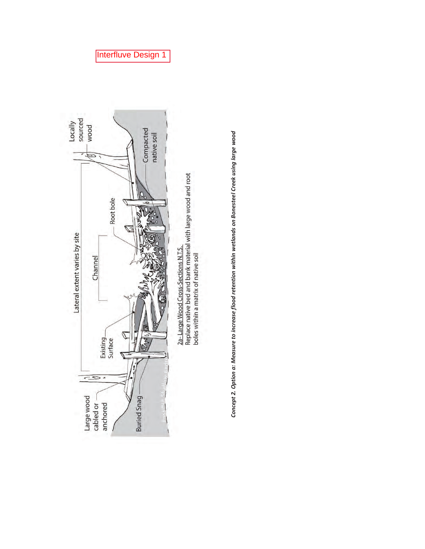



## Interfluve Design 1